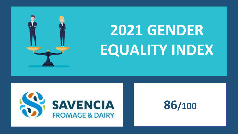

## **2021 GENDER EQUALITY INDEX**



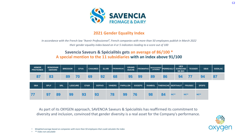

## **2021 Gender Equality Index**

*In accordance with the French law "Avenir Professionnel", French companies with more than 50 employees publish in March 2022 their gender equality index based on 4 or 5 indicators leading to a score out of 100*

## **Savencia Saveurs & Spécialités gets an average of 86/100 \* A special mention to the 11 subsidiaries with an index above 91/100**

| <b>ARMOR</b><br><b>PROTEINES</b> | <b>BONGRAIN</b><br><b>GERARD</b> |            | <b>BRESSOR</b> |                | <b>CFVA</b> | <b>CHAUMES</b> |               | <b>ELVIR</b> | <b>FROMARSAC</b> |    |                 | <b>GRAND</b><br><b>OUCHE</b> |               | <b>FROMAPAC</b> |               | <b>MESSAGERIES</b><br><b>LAITIERES</b> |                               | <b>UES</b><br>PERREAULT SOREDAB/<br><b>SB BIO</b> |             | <b>TESSIER</b> |             | <b>SBAI</b>  | <b>SODILAC</b> |
|----------------------------------|----------------------------------|------------|----------------|----------------|-------------|----------------|---------------|--------------|------------------|----|-----------------|------------------------------|---------------|-----------------|---------------|----------------------------------------|-------------------------------|---------------------------------------------------|-------------|----------------|-------------|--------------|----------------|
| 87                               | 83                               |            | 89             | 70             |             | 69             |               | 92           |                  | 68 | 95              |                              | 99            |                 | 89            |                                        | 86                            | 94                                                |             |                |             | 94           |                |
| <b>SBA</b>                       | <b>SPLF</b>                      | <b>SRL</b> |                | <b>LESCURE</b> |             | CF&R           | <b>SOFIVO</b> |              | <b>VIHIERS</b>   |    | <b>PAPILLON</b> |                              | <b>SOGEPS</b> |                 | <b>RAMBOL</b> |                                        | <b>THIERACHE   BERTHAUT  </b> |                                                   |             | <b>FRUISEC</b> |             | <b>SFDFS</b> |                |
| 77                               | 97                               | 89         |                | 99             | 93          |                | 93            |              | 78               |    | 99              | 76                           |               |                 | 98            |                                        | 84                            | <b>NC**</b>                                       | <b>NC**</b> |                | <b>NC**</b> |              |                |

As part of its OXYGEN approach, SAVENCIA Saveurs & Spécialités has reaffirmed its commitment to diversity and inclusion, convinced that gender diversity is a real asset for the Company's performance.



• *Weighted average based on companies with more than 50 employees that could calculate the index* 

• *\*\* index not calculable*